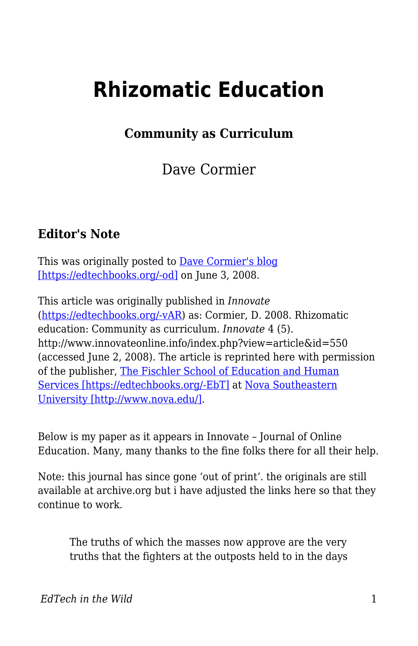# **Rhizomatic Education**

**Community as Curriculum**

Dave Cormier

#### **Editor's Note**

This was originally posted to <u>Dave Cormier's blog</u> [\[https://edtechbooks.org/-od\]](http://davecormier.com/edblog/2008/06/03/rhizomatic-education-community-as-curriculum/) on June 3, 2008.

This article was originally published in *Innovate* ([https://edtechbooks.org/-vAR](http://www.innovateonline.info/)) as: Cormier, D. 2008. Rhizomatic education: Community as curriculum. *Innovate* 4 (5). http://www.innovateonline.info/index.php?view=article&id=550 (accessed June 2, 2008). The article is reprinted here with permission of the publisher, [The Fischler School of Education and Human](http://www.schoolofed.nova.edu/) [Services \[https://edtechbooks.org/-EbT\]](http://www.schoolofed.nova.edu/) at [Nova Southeastern](http://www.nova.edu/) [University \[http://www.nova.edu/\]](http://www.nova.edu/).

Below is my paper as it appears in Innovate – Journal of Online Education. Many, many thanks to the fine folks there for all their help.

Note: this journal has since gone 'out of print'. the originals are still available at archive.org but i have adjusted the links here so that they continue to work.

The truths of which the masses now approve are the very truths that the fighters at the outposts held to in the days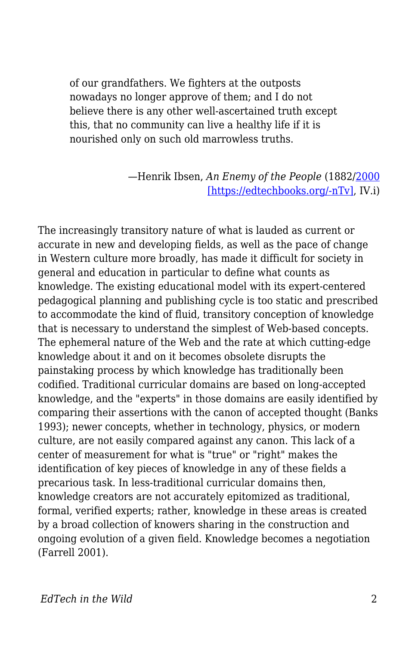of our grandfathers. We fighters at the outposts nowadays no longer approve of them; and I do not believe there is any other well-ascertained truth except this, that no community can live a healthy life if it is nourished only on such old marrowless truths.

> —Henrik Ibsen, *An Enemy of the People* (1882[/2000](http://www.gutenberg.org/dirs/etext00/aeotp10.txt) [\[https://edtechbooks.org/-nTv\],](http://www.gutenberg.org/dirs/etext00/aeotp10.txt) IV.i)

The increasingly transitory nature of what is lauded as current or accurate in new and developing fields, as well as the pace of change in Western culture more broadly, has made it difficult for society in general and education in particular to define what counts as knowledge. The existing educational model with its expert-centered pedagogical planning and publishing cycle is too static and prescribed to accommodate the kind of fluid, transitory conception of knowledge that is necessary to understand the simplest of Web-based concepts. The ephemeral nature of the Web and the rate at which cutting-edge knowledge about it and on it becomes obsolete disrupts the painstaking process by which knowledge has traditionally been codified. Traditional curricular domains are based on long-accepted knowledge, and the "experts" in those domains are easily identified by comparing their assertions with the canon of accepted thought (Banks 1993); newer concepts, whether in technology, physics, or modern culture, are not easily compared against any canon. This lack of a center of measurement for what is "true" or "right" makes the identification of key pieces of knowledge in any of these fields a precarious task. In less-traditional curricular domains then, knowledge creators are not accurately epitomized as traditional, formal, verified experts; rather, knowledge in these areas is created by a broad collection of knowers sharing in the construction and ongoing evolution of a given field. Knowledge becomes a negotiation (Farrell 2001).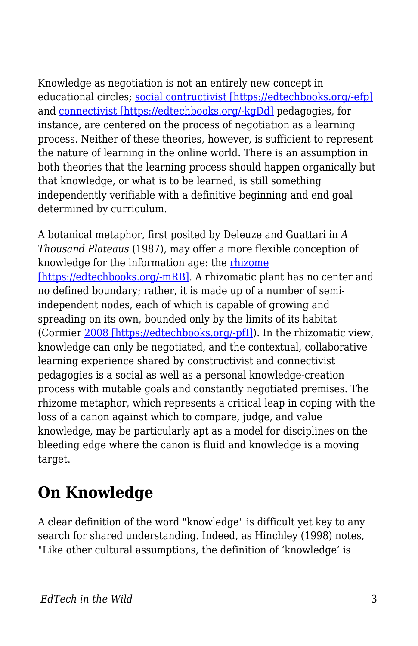Knowledge as negotiation is not an entirely new concept in educational circles; [social contructivist \[https://edtechbooks.org/-efp\]](http://www.innovateonline.info/extra.php?id=2770) and [connectivist \[https://edtechbooks.org/-kgDd\]](http://www.innovateonline.info/extra.php?id=2771) pedagogies, for instance, are centered on the process of negotiation as a learning process. Neither of these theories, however, is sufficient to represent the nature of learning in the online world. There is an assumption in both theories that the learning process should happen organically but that knowledge, or what is to be learned, is still something independently verifiable with a definitive beginning and end goal determined by curriculum.

A botanical metaphor, first posited by Deleuze and Guattari in *A Thousand Plateaus* (1987), may offer a more flexible conception of knowledge for the information age: the [rhizome](http://en.wikipedia.org/wiki/Rhizome) [\[https://edtechbooks.org/-mRB\]](http://en.wikipedia.org/wiki/Rhizome). A rhizomatic plant has no center and no defined boundary; rather, it is made up of a number of semiindependent nodes, each of which is capable of growing and spreading on its own, bounded only by the limits of its habitat (Cormier [2008 \[https://edtechbooks.org/-pfI\]\)](http://www.webcitation.org/5XfE5yYAY). In the rhizomatic view, knowledge can only be negotiated, and the contextual, collaborative learning experience shared by constructivist and connectivist pedagogies is a social as well as a personal knowledge-creation process with mutable goals and constantly negotiated premises. The rhizome metaphor, which represents a critical leap in coping with the loss of a canon against which to compare, judge, and value knowledge, may be particularly apt as a model for disciplines on the bleeding edge where the canon is fluid and knowledge is a moving target.

### **On Knowledge**

A clear definition of the word "knowledge" is difficult yet key to any search for shared understanding. Indeed, as Hinchley (1998) notes, "Like other cultural assumptions, the definition of 'knowledge' is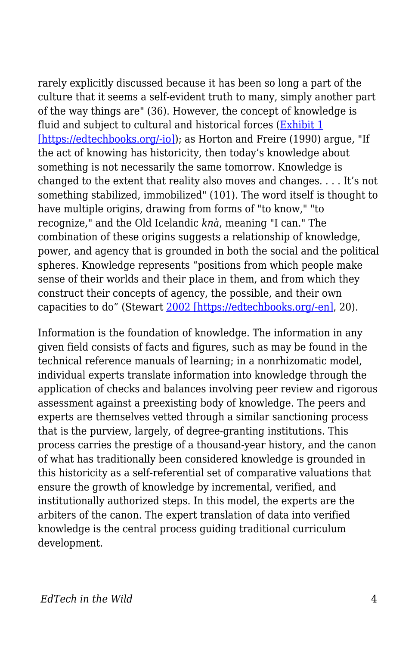rarely explicitly discussed because it has been so long a part of the culture that it seems a self-evident truth to many, simply another part of the way things are" (36). However, the concept of knowledge is fluid and subject to cultural and historical forces [\(Exhibit 1](http://davecormier.com/edblog/wp-content/uploads/Knowledge-exhibit-1.pdf)) [\[https://edtechbooks.org/-io\]\)](http://davecormier.com/edblog/wp-content/uploads/Knowledge-exhibit-1.pdf); as Horton and Freire (1990) argue, "If the act of knowing has historicity, then today's knowledge about something is not necessarily the same tomorrow. Knowledge is changed to the extent that reality also moves and changes. . . . It's not something stabilized, immobilized" (101). The word itself is thought to have multiple origins, drawing from forms of "to know," "to recognize," and the Old Icelandic *knà*, meaning "I can." The combination of these origins suggests a relationship of knowledge, power, and agency that is grounded in both the social and the political spheres. Knowledge represents "positions from which people make sense of their worlds and their place in them, and from which they construct their concepts of agency, the possible, and their own capacities to do" (Stewart [2002 \[https://edtechbooks.org/-en\],](http://www.webcitation.org/5Xed19AOc) 20).

Information is the foundation of knowledge. The information in any given field consists of facts and figures, such as may be found in the technical reference manuals of learning; in a nonrhizomatic model, individual experts translate information into knowledge through the application of checks and balances involving peer review and rigorous assessment against a preexisting body of knowledge. The peers and experts are themselves vetted through a similar sanctioning process that is the purview, largely, of degree-granting institutions. This process carries the prestige of a thousand-year history, and the canon of what has traditionally been considered knowledge is grounded in this historicity as a self-referential set of comparative valuations that ensure the growth of knowledge by incremental, verified, and institutionally authorized steps. In this model, the experts are the arbiters of the canon. The expert translation of data into verified knowledge is the central process guiding traditional curriculum development.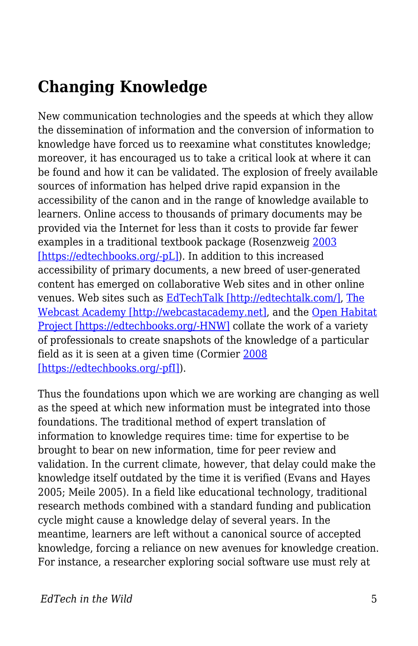#### **Changing Knowledge**

New communication technologies and the speeds at which they allow the dissemination of information and the conversion of information to knowledge have forced us to reexamine what constitutes knowledge; moreover, it has encouraged us to take a critical look at where it can be found and how it can be validated. The explosion of freely available sources of information has helped drive rapid expansion in the accessibility of the canon and in the range of knowledge available to learners. Online access to thousands of primary documents may be provided via the Internet for less than it costs to provide far fewer examples in a traditional textbook package (Rosenzweig [2003](http://www.webcitation.org/5XeceCRlv) [\[https://edtechbooks.org/-pL\]](http://www.webcitation.org/5XeceCRlv)). In addition to this increased accessibility of primary documents, a new breed of user-generated content has emerged on collaborative Web sites and in other online venues. Web sites such as [EdTechTalk \[http://edtechtalk.com/\],](http://edtechtalk.com/) [The](http://webcastacademy.net) [Webcast Academy \[http://webcastacademy.net\],](http://webcastacademy.net) and the [Open Habitat](http://www.openhabitat.org/welcome) [Project \[https://edtechbooks.org/-HNW\]](http://www.openhabitat.org/welcome) collate the work of a variety of professionals to create snapshots of the knowledge of a particular field as it is seen at a given time (Cormier [2008](http://www.webcitation.org/5XfE5yYAY) [\[https://edtechbooks.org/-pfI\]](http://www.webcitation.org/5XfE5yYAY)).

Thus the foundations upon which we are working are changing as well as the speed at which new information must be integrated into those foundations. The traditional method of expert translation of information to knowledge requires time: time for expertise to be brought to bear on new information, time for peer review and validation. In the current climate, however, that delay could make the knowledge itself outdated by the time it is verified (Evans and Hayes 2005; Meile 2005). In a field like educational technology, traditional research methods combined with a standard funding and publication cycle might cause a knowledge delay of several years. In the meantime, learners are left without a canonical source of accepted knowledge, forcing a reliance on new avenues for knowledge creation. For instance, a researcher exploring social software use must rely at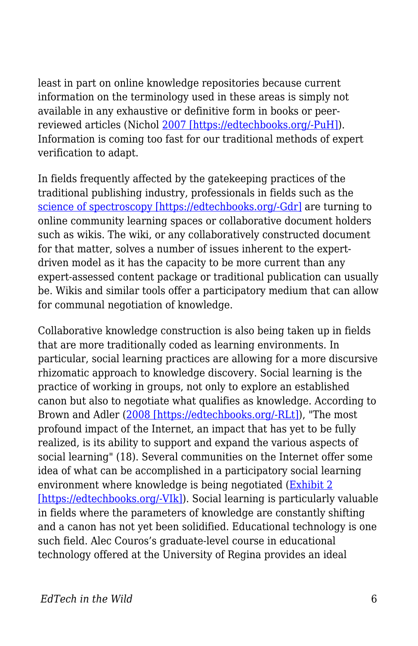least in part on online knowledge repositories because current information on the terminology used in these areas is simply not available in any exhaustive or definitive form in books or peerreviewed articles (Nichol [2007 \[https://edtechbooks.org/-PuH\]\)](http://www.webcitation.org/5XsmiN7j1). Information is coming too fast for our traditional methods of expert verification to adapt.

In fields frequently affected by the gatekeeping practices of the traditional publishing industry, professionals in fields such as the [science of spectroscopy \[https://edtechbooks.org/-Gdr\]](http://www.scienceofspectroscopy.info/) are turning to online community learning spaces or collaborative document holders such as wikis. The wiki, or any collaboratively constructed document for that matter, solves a number of issues inherent to the expertdriven model as it has the capacity to be more current than any expert-assessed content package or traditional publication can usually be. Wikis and similar tools offer a participatory medium that can allow for communal negotiation of knowledge.

Collaborative knowledge construction is also being taken up in fields that are more traditionally coded as learning environments. In particular, social learning practices are allowing for a more discursive rhizomatic approach to knowledge discovery. Social learning is the practice of working in groups, not only to explore an established canon but also to negotiate what qualifies as knowledge. According to Brown and Adler ([2008 \[https://edtechbooks.org/-RLt\]](http://www.webcitation.org/5XebnBMZ4)), "The most profound impact of the Internet, an impact that has yet to be fully realized, is its ability to support and expand the various aspects of social learning" (18). Several communities on the Internet offer some idea of what can be accomplished in a participatory social learning environment where knowledge is being negotiated [\(Exhibit 2](http://davecormier.com/edblog/wp-content/uploads/The-Open-Habitat-Project-is-an-effort-exhibit-2.pdf) [\[https://edtechbooks.org/-VIk\]\)](http://davecormier.com/edblog/wp-content/uploads/The-Open-Habitat-Project-is-an-effort-exhibit-2.pdf). Social learning is particularly valuable in fields where the parameters of knowledge are constantly shifting and a canon has not yet been solidified. Educational technology is one such field. Alec Couros's graduate-level course in educational technology offered at the University of Regina provides an ideal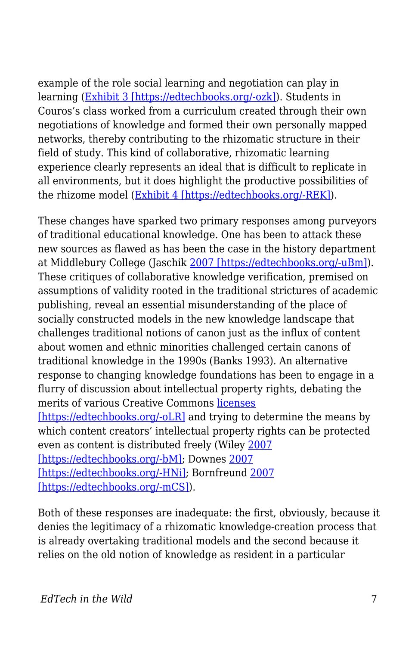example of the role social learning and negotiation can play in learning [\(Exhibit 3 \[https://edtechbooks.org/-ozk\]\)](http://davecormier.com/edblog/wp-content/uploads/Computers-in-the-classroom-exhibit-3.pdf). Students in Couros's class worked from a curriculum created through their own negotiations of knowledge and formed their own personally mapped networks, thereby contributing to the rhizomatic structure in their field of study. This kind of collaborative, rhizomatic learning experience clearly represents an ideal that is difficult to replicate in all environments, but it does highlight the productive possibilities of the rhizome model ([Exhibit 4 \[https://edtechbooks.org/-REK\]](http://davecormier.com/edblog/wp-content/uploads/Alec-author-discussion.pdf)).

These changes have sparked two primary responses among purveyors of traditional educational knowledge. One has been to attack these new sources as flawed as has been the case in the history department at Middlebury College (Jaschik [2007 \[https://edtechbooks.org/-uBm\]\)](http://www.webcitation.org/5XecVR535). These critiques of collaborative knowledge verification, premised on assumptions of validity rooted in the traditional strictures of academic publishing, reveal an essential misunderstanding of the place of socially constructed models in the new knowledge landscape that challenges traditional notions of canon just as the influx of content about women and ethnic minorities challenged certain canons of traditional knowledge in the 1990s (Banks 1993). An alternative response to changing knowledge foundations has been to engage in a flurry of discussion about intellectual property rights, debating the merits of various Creative Commons [licenses](http://creativecommons.org/about/licenses/meet-the-licenses) [\[https://edtechbooks.org/-oLR\]](http://creativecommons.org/about/licenses/meet-the-licenses) and trying to determine the means by which content creators' intellectual property rights can be protected even as content is distributed freely (Wiley [2007](http://www.webcitation.org/5XedHwkrA) [\[https://edtechbooks.org/-bM\]](http://www.webcitation.org/5XedHwkrA); Downes [2007](http://www.webcitation.org/5Xec3eUaX) [\[https://edtechbooks.org/-HNi\]](http://www.webcitation.org/5Xec3eUaX); Bornfreund [2007](http://ltc.umanitoba.ca/conferences/copyright/Marcus_Bornfreund/Marcus_Bornfreund.html) [\[https://edtechbooks.org/-mCS\]\)](http://ltc.umanitoba.ca/conferences/copyright/Marcus_Bornfreund/Marcus_Bornfreund.html).

Both of these responses are inadequate: the first, obviously, because it denies the legitimacy of a rhizomatic knowledge-creation process that is already overtaking traditional models and the second because it relies on the old notion of knowledge as resident in a particular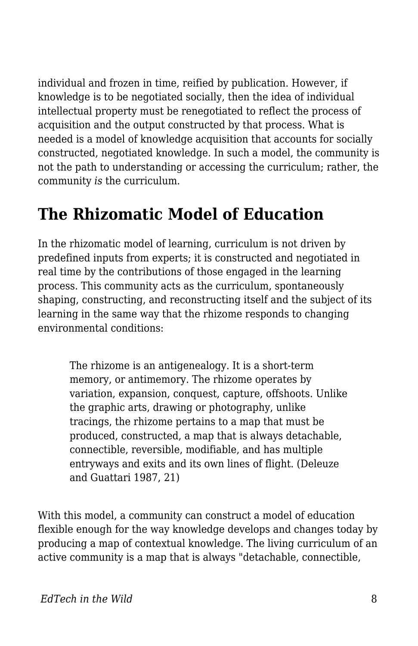individual and frozen in time, reified by publication. However, if knowledge is to be negotiated socially, then the idea of individual intellectual property must be renegotiated to reflect the process of acquisition and the output constructed by that process. What is needed is a model of knowledge acquisition that accounts for socially constructed, negotiated knowledge. In such a model, the community is not the path to understanding or accessing the curriculum; rather, the community *is* the curriculum.

#### **The Rhizomatic Model of Education**

In the rhizomatic model of learning, curriculum is not driven by predefined inputs from experts; it is constructed and negotiated in real time by the contributions of those engaged in the learning process. This community acts as the curriculum, spontaneously shaping, constructing, and reconstructing itself and the subject of its learning in the same way that the rhizome responds to changing environmental conditions:

The rhizome is an antigenealogy. It is a short-term memory, or antimemory. The rhizome operates by variation, expansion, conquest, capture, offshoots. Unlike the graphic arts, drawing or photography, unlike tracings, the rhizome pertains to a map that must be produced, constructed, a map that is always detachable, connectible, reversible, modifiable, and has multiple entryways and exits and its own lines of flight. (Deleuze and Guattari 1987, 21)

With this model, a community can construct a model of education flexible enough for the way knowledge develops and changes today by producing a map of contextual knowledge. The living curriculum of an active community is a map that is always "detachable, connectible,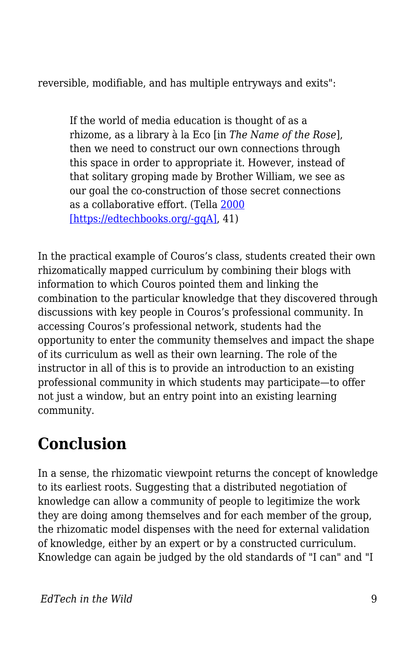reversible, modifiable, and has multiple entryways and exits":

If the world of media education is thought of as a rhizome, as a library à la Eco [in *The Name of the Rose*], then we need to construct our own connections through this space in order to appropriate it. However, instead of that solitary groping made by Brother William, we see as our goal the co-construction of those secret connections as a collaborative effort. (Tella [2000](http://www.webcitation.org/5XedAvMUG) [\[https://edtechbooks.org/-gqA\]](http://www.webcitation.org/5XedAvMUG), 41)

In the practical example of Couros's class, students created their own rhizomatically mapped curriculum by combining their blogs with information to which Couros pointed them and linking the combination to the particular knowledge that they discovered through discussions with key people in Couros's professional community. In accessing Couros's professional network, students had the opportunity to enter the community themselves and impact the shape of its curriculum as well as their own learning. The role of the instructor in all of this is to provide an introduction to an existing professional community in which students may participate—to offer not just a window, but an entry point into an existing learning community.

## **Conclusion**

In a sense, the rhizomatic viewpoint returns the concept of knowledge to its earliest roots. Suggesting that a distributed negotiation of knowledge can allow a community of people to legitimize the work they are doing among themselves and for each member of the group, the rhizomatic model dispenses with the need for external validation of knowledge, either by an expert or by a constructed curriculum. Knowledge can again be judged by the old standards of "I can" and "I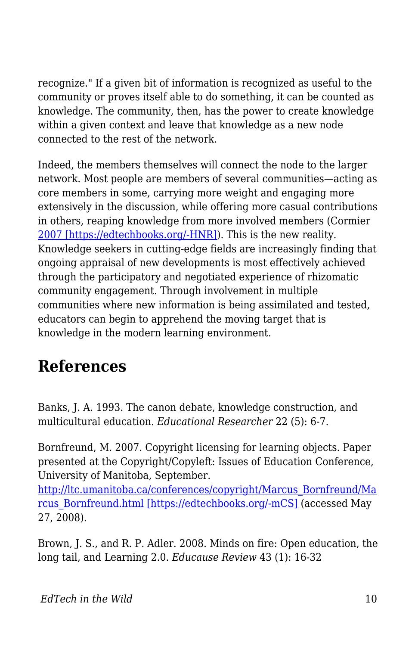recognize." If a given bit of information is recognized as useful to the community or proves itself able to do something, it can be counted as knowledge. The community, then, has the power to create knowledge within a given context and leave that knowledge as a new node connected to the rest of the network.

Indeed, the members themselves will connect the node to the larger network. Most people are members of several communities—acting as core members in some, carrying more weight and engaging more extensively in the discussion, while offering more casual contributions in others, reaping knowledge from more involved members (Cormier [2007 \[https://edtechbooks.org/-HNR\]\)](http://www.webcitation.org/5XebgJkGU). This is the new reality. Knowledge seekers in cutting-edge fields are increasingly finding that ongoing appraisal of new developments is most effectively achieved through the participatory and negotiated experience of rhizomatic community engagement. Through involvement in multiple communities where new information is being assimilated and tested, educators can begin to apprehend the moving target that is knowledge in the modern learning environment.

#### **References**

Banks, J. A. 1993. The canon debate, knowledge construction, and multicultural education. *Educational Researcher* 22 (5): 6-7.

Bornfreund, M. 2007. Copyright licensing for learning objects. Paper presented at the Copyright/Copyleft: Issues of Education Conference, University of Manitoba, September.

[http://ltc.umanitoba.ca/conferences/copyright/Marcus\\_Bornfreund/Ma](http://ltc.umanitoba.ca/conferences/copyright/Marcus_Bornfreund/Marcus_Bornfreund.html) [rcus\\_Bornfreund.html \[https://edtechbooks.org/-mCS\]](http://ltc.umanitoba.ca/conferences/copyright/Marcus_Bornfreund/Marcus_Bornfreund.html) (accessed May 27, 2008).

Brown, J. S., and R. P. Adler. 2008. Minds on fire: Open education, the long tail, and Learning 2.0. *Educause Review* 43 (1): 16-32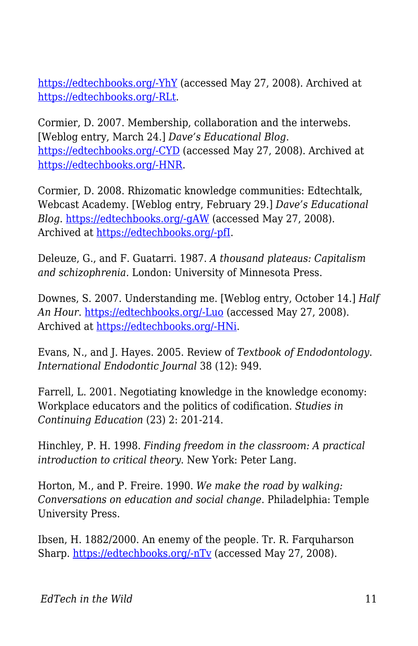[https://edtechbooks.org/-YhY](http://connect.educause.edu/Library/EDUCAUSE+Review/MindsonFireOpenEducationt/45823) (accessed May 27, 2008). Archived at [https://edtechbooks.org/-RLt.](http://www.webcitation.org/5XebnBMZ4)

Cormier, D. 2007. Membership, collaboration and the interwebs. [Weblog entry, March 24.] *Dave's Educational Blog*. [https://edtechbooks.org/-CYD](http://davecormier.com/edblog/?p=95) (accessed May 27, 2008). Archived at [https://edtechbooks.org/-HNR.](http://www.webcitation.org/5XebgJkGU)

Cormier, D. 2008. Rhizomatic knowledge communities: Edtechtalk, Webcast Academy. [Weblog entry, February 29.] *Dave's Educational Blog*. [https://edtechbooks.org/-gAW](http://davecormier.com/edblog/2008/02/29/rhizomatic-knowledge-communities-edtechtalk-webcast-academy/) (accessed May 27, 2008). Archived at <u>https://edtechbooks.org/-pfI</u>.

Deleuze, G., and F. Guatarri. 1987. *A thousand plateaus: Capitalism and schizophrenia.* London: University of Minnesota Press.

Downes, S. 2007. Understanding me. [Weblog entry, October 14.] *Half An Hour*. [https://edtechbooks.org/-Luo](http://halfanhour.blogspot.com/2007/10/understanding-me.html) (accessed May 27, 2008). Archived at [https://edtechbooks.org/-HNi](http://www.webcitation.org/5Xec3eUaX).

Evans, N., and J. Hayes. 2005. Review of *Textbook of Endodontology*. *International Endodontic Journal* 38 (12): 949.

Farrell, L. 2001. Negotiating knowledge in the knowledge economy: Workplace educators and the politics of codification. *Studies in Continuing Education* (23) 2: 201-214.

Hinchley, P. H. 1998. *Finding freedom in the classroom: A practical introduction to critical theory*. New York: Peter Lang.

Horton, M., and P. Freire. 1990. *We make the road by walking: Conversations on education and social change*. Philadelphia: Temple University Press.

Ibsen, H. 1882/2000. An enemy of the people. Tr. R. Farquharson Sharp. [https://edtechbooks.org/-nTv](http://www.gutenberg.org/dirs/etext00/aeotp10.txt) (accessed May 27, 2008).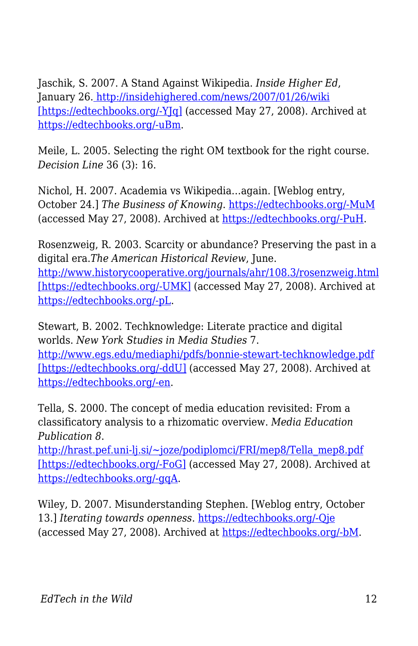Jaschik, S. 2007. A Stand Against Wikipedia. *Inside Higher Ed*, January 26[. http://insidehighered.com/news/2007/01/26/wiki](http://insidehighered.com/news/2007/01/26/wiki) [https://edtechbooks.org/-Y[q] (accessed May 27, 2008). Archived at [https://edtechbooks.org/-uBm](http://www.webcitation.org/5XecVR535).

Meile, L. 2005. Selecting the right OM textbook for the right course. *Decision Line* 36 (3): 16.

Nichol, H. 2007. Academia vs Wikipedia…again. [Weblog entry, October 24.] *The Business of Knowing*. [https://edtechbooks.org/-MuM](http://thebusinessofknowing.blogspot.com/2007/10/academia-vs-wikipediaagain.html) (accessed May 27, 2008). Archived at [https://edtechbooks.org/-PuH.](http://www.webcitation.org/5XsmiN7j1)

Rosenzweig, R. 2003. Scarcity or abundance? Preserving the past in a digital era.*The American Historical Review*, June. <http://www.historycooperative.org/journals/ahr/108.3/rosenzweig.html> [\[https://edtechbooks.org/-UMK\]](http://www.historycooperative.org/journals/ahr/108.3/rosenzweig.html) (accessed May 27, 2008). Archived at [https://edtechbooks.org/-pL](http://www.webcitation.org/5XeceCRlv).

Stewart, B. 2002. Techknowledge: Literate practice and digital worlds. *New York Studies in Media Studies* 7. <http://www.egs.edu/mediaphi/pdfs/bonnie-stewart-techknowledge.pdf> [\[https://edtechbooks.org/-ddU\]](http://www.egs.edu/mediaphi/pdfs/bonnie-stewart-techknowledge.pdf) (accessed May 27, 2008). Archived at [https://edtechbooks.org/-en.](http://www.webcitation.org/5Xed19AOc)

Tella, S. 2000. The concept of media education revisited: From a classificatory analysis to a rhizomatic overview. *Media Education Publication 8*.

[http://hrast.pef.uni-lj.si/~joze/podiplomci/FRI/mep8/Tella\\_mep8.pdf](http://hrast.pef.uni-lj.si/%7Ejoze/podiplomci/FRI/mep8/Tella_mep8.pdf) [\[https://edtechbooks.org/-FoG\]](http://hrast.pef.uni-lj.si/%7Ejoze/podiplomci/FRI/mep8/Tella_mep8.pdf) (accessed May 27, 2008). Archived at [https://edtechbooks.org/-gqA](http://www.webcitation.org/5XedAvMUG).

Wiley, D. 2007. Misunderstanding Stephen. [Weblog entry, October 13.] *Iterating towards openness*. [https://edtechbooks.org/-Qje](http://opencontent.org/blog/archives/381) (accessed May 27, 2008). Archived at [https://edtechbooks.org/-bM.](http://www.webcitation.org/5XedHwkrA)